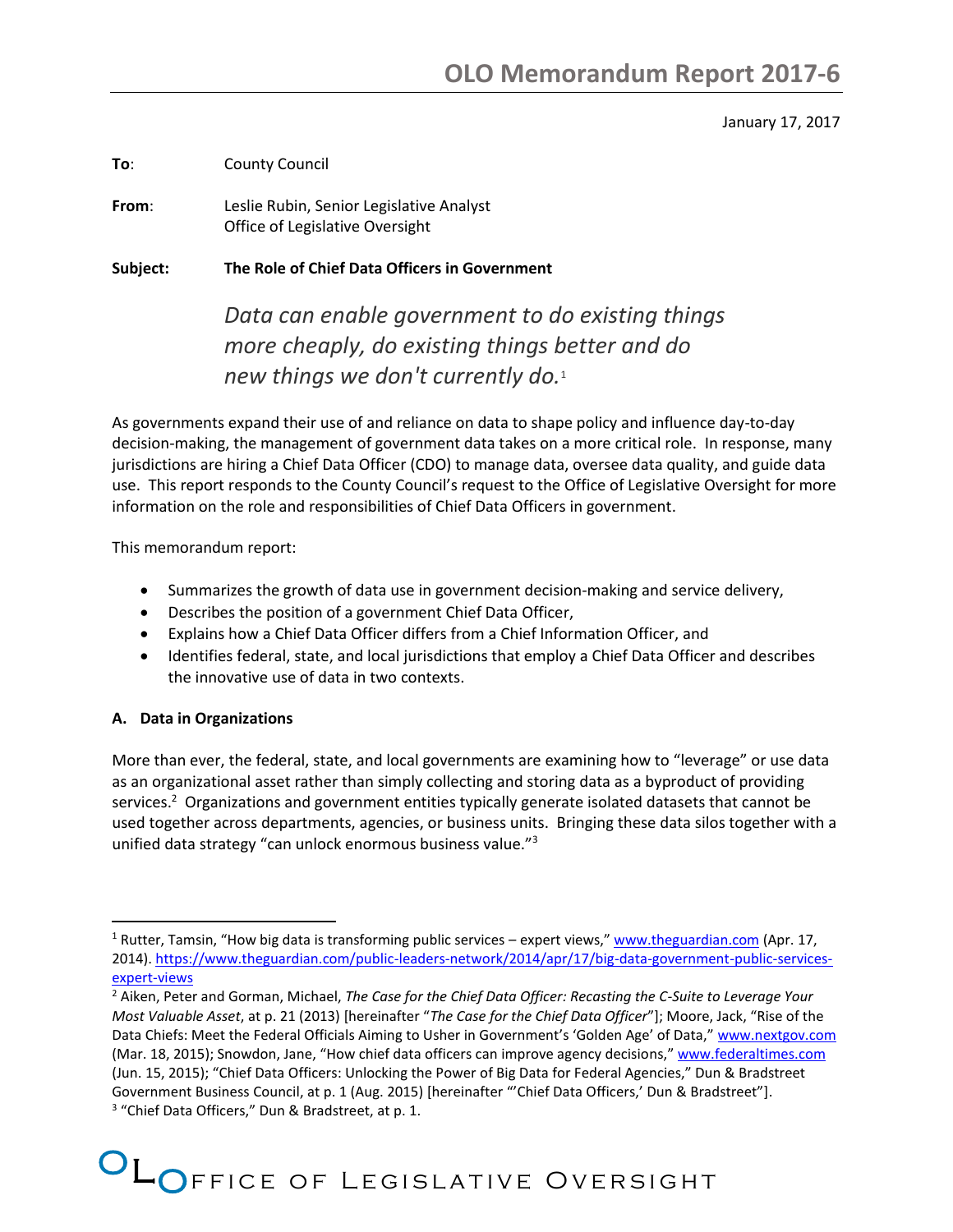### January 17, 2017

**To**: County Council

**From**: Leslie Rubin, Senior Legislative Analyst Office of Legislative Oversight

**Subject: The Role of Chief Data Officers in Government**

*Data can enable government to do existing things more cheaply, do existing things better and do new things we don't currently do.*<sup>1</sup>

As governments expand their use of and reliance on data to shape policy and influence day-to-day decision-making, the management of government data takes on a more critical role. In response, many jurisdictions are hiring a Chief Data Officer (CDO) to manage data, oversee data quality, and guide data use. This report responds to the County Council's request to the Office of Legislative Oversight for more information on the role and responsibilities of Chief Data Officers in government.

This memorandum report:

- Summarizes the growth of data use in government decision-making and service delivery,
- Describes the position of a government Chief Data Officer,
- Explains how a Chief Data Officer differs from a Chief Information Officer, and
- Identifies federal, state, and local jurisdictions that employ a Chief Data Officer and describes the innovative use of data in two contexts.

## **A. Data in Organizations**

 $\overline{\phantom{a}}$ 

More than ever, the federal, state, and local governments are examining how to "leverage" or use data as an organizational asset rather than simply collecting and storing data as a byproduct of providing services.<sup>2</sup> Organizations and government entities typically generate isolated datasets that cannot be used together across departments, agencies, or business units. Bringing these data silos together with a unified data strategy "can unlock enormous business value."<sup>3</sup>

<sup>&</sup>lt;sup>1</sup> Rutter, Tamsin, "How big data is transforming public services – expert views," [www.theguardian.com](http://www.theguardian.com/) (Apr. 17, 2014). [https://www.theguardian.com/public-leaders-network/2014/apr/17/big-data-government-public-services](https://www.theguardian.com/public-leaders-network/2014/apr/17/big-data-government-public-services-expert-views)[expert-views](https://www.theguardian.com/public-leaders-network/2014/apr/17/big-data-government-public-services-expert-views)

<sup>2</sup> Aiken, Peter and Gorman, Michael, *The Case for the Chief Data Officer: Recasting the C-Suite to Leverage Your Most Valuable Asset*, at p. 21 (2013) [hereinafter "*The Case for the Chief Data Officer*"]; Moore, Jack, "Rise of the Data Chiefs: Meet the Federal Officials Aiming to Usher in Government's 'Golden Age' of Data," [www.nextgov.com](http://www.nextgov.com/) (Mar. 18, 2015); Snowdon, Jane, "How chief data officers can improve agency decisions," [www.federaltimes.com](http://www.federaltimes.com/) (Jun. 15, 2015); "Chief Data Officers: Unlocking the Power of Big Data for Federal Agencies," Dun & Bradstreet Government Business Council, at p. 1 (Aug. 2015) [hereinafter "'Chief Data Officers,' Dun & Bradstreet"]. <sup>3</sup> "Chief Data Officers," Dun & Bradstreet, at p. 1.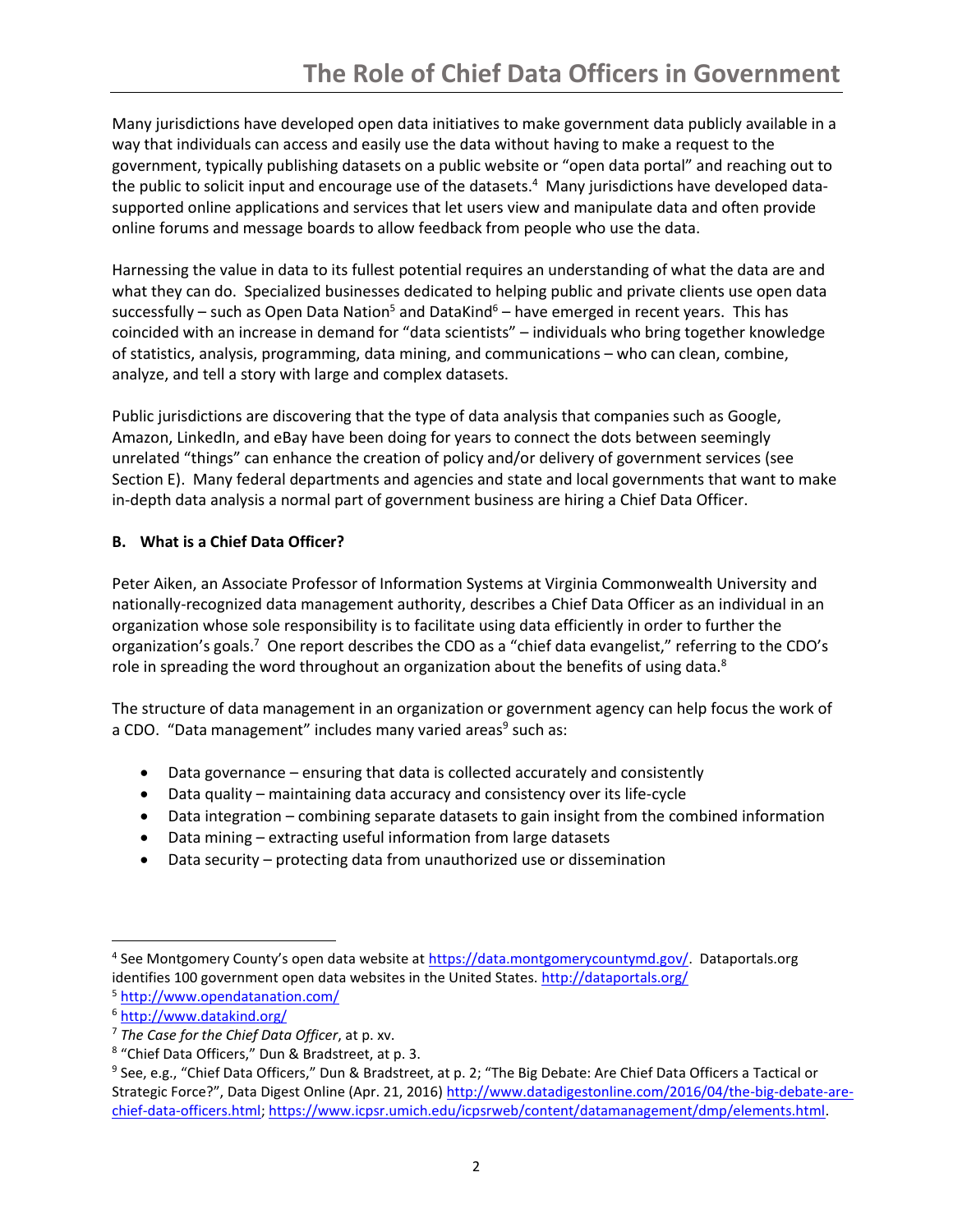Many jurisdictions have developed open data initiatives to make government data publicly available in a way that individuals can access and easily use the data without having to make a request to the government, typically publishing datasets on a public website or "open data portal" and reaching out to the public to solicit input and encourage use of the datasets.<sup>4</sup> Many jurisdictions have developed datasupported online applications and services that let users view and manipulate data and often provide online forums and message boards to allow feedback from people who use the data.

Harnessing the value in data to its fullest potential requires an understanding of what the data are and what they can do. Specialized businesses dedicated to helping public and private clients use open data successfully – such as Open Data Nation<sup>5</sup> and DataKind<sup>6</sup> – have emerged in recent years. This has coincided with an increase in demand for "data scientists" – individuals who bring together knowledge of statistics, analysis, programming, data mining, and communications – who can clean, combine, analyze, and tell a story with large and complex datasets.

Public jurisdictions are discovering that the type of data analysis that companies such as Google, Amazon, LinkedIn, and eBay have been doing for years to connect the dots between seemingly unrelated "things" can enhance the creation of policy and/or delivery of government services (see Section E). Many federal departments and agencies and state and local governments that want to make in-depth data analysis a normal part of government business are hiring a Chief Data Officer.

# **B. What is a Chief Data Officer?**

Peter Aiken, an Associate Professor of Information Systems at Virginia Commonwealth University and nationally-recognized data management authority, describes a Chief Data Officer as an individual in an organization whose sole responsibility is to facilitate using data efficiently in order to further the organization's goals.<sup>7</sup> One report describes the CDO as a "chief data evangelist," referring to the CDO's role in spreading the word throughout an organization about the benefits of using data.<sup>8</sup>

The structure of data management in an organization or government agency can help focus the work of a CDO. "Data management" includes many varied areas<sup>9</sup> such as:

- Data governance ensuring that data is collected accurately and consistently
- Data quality maintaining data accuracy and consistency over its life-cycle
- Data integration combining separate datasets to gain insight from the combined information
- Data mining extracting useful information from large datasets
- Data security protecting data from unauthorized use or dissemination

 $\overline{\phantom{a}}$ 

<sup>&</sup>lt;sup>4</sup> See Montgomery County's open data website at *https://data.montgomerycountymd.gov/*. Dataportals.org identifies 100 government open data websites in the United States. <http://dataportals.org/>

<sup>5</sup> <http://www.opendatanation.com/>

<sup>6</sup> <http://www.datakind.org/>

<sup>7</sup> *The Case for the Chief Data Officer*, at p. xv.

<sup>8</sup> "Chief Data Officers," Dun & Bradstreet, at p. 3.

<sup>&</sup>lt;sup>9</sup> See, e.g., "Chief Data Officers," Dun & Bradstreet, at p. 2; "The Big Debate: Are Chief Data Officers a Tactical or Strategic Force?", Data Digest Online (Apr. 21, 2016) [http://www.datadigestonline.com/2016/04/the-big-debate-are](http://www.datadigestonline.com/2016/04/the-big-debate-are-chief-data-officers.html)[chief-data-officers.html;](http://www.datadigestonline.com/2016/04/the-big-debate-are-chief-data-officers.html) [https://www.icpsr.umich.edu/icpsrweb/content/datamanagement/dmp/elements.html.](https://www.icpsr.umich.edu/icpsrweb/content/datamanagement/dmp/elements.html)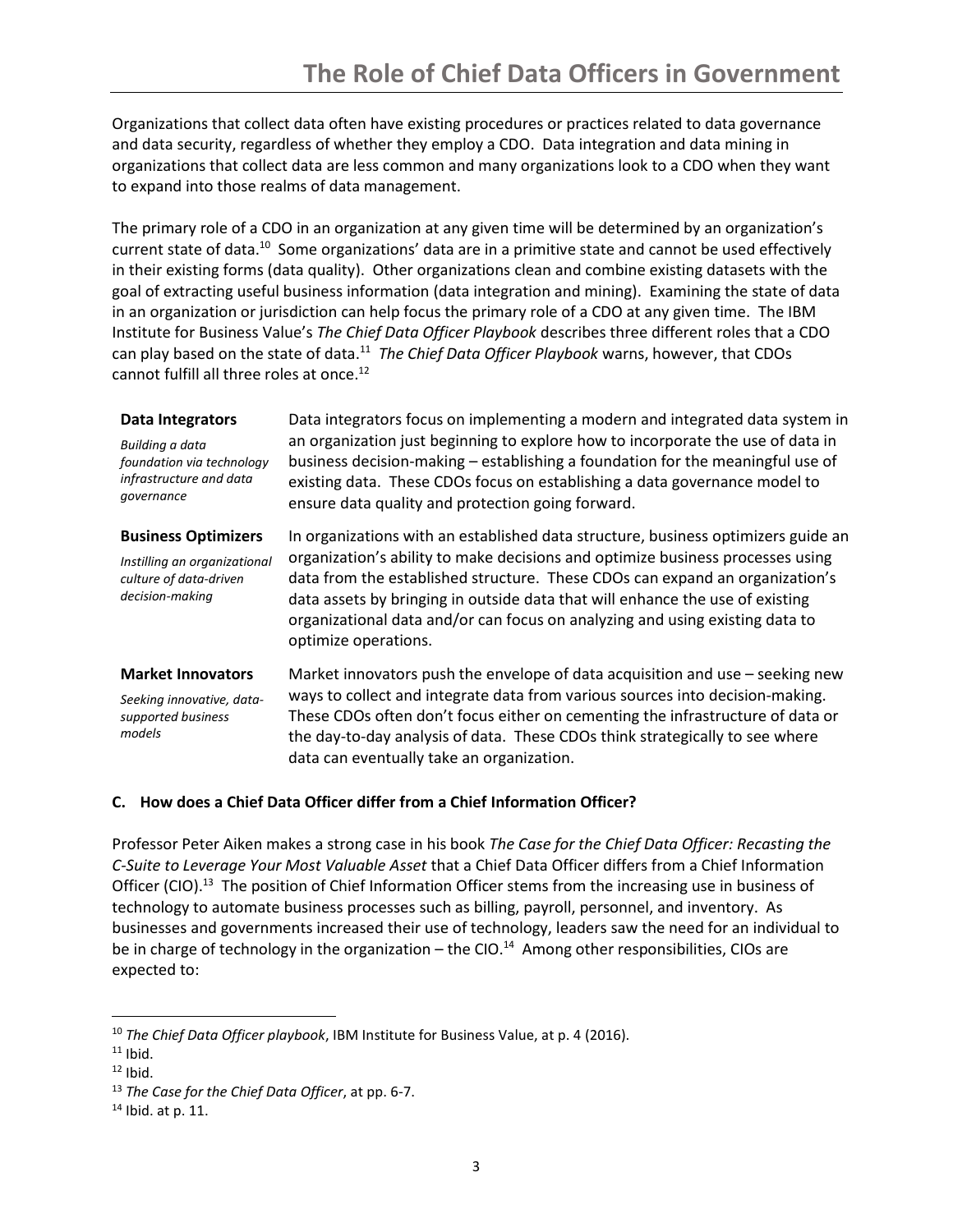Organizations that collect data often have existing procedures or practices related to data governance and data security, regardless of whether they employ a CDO. Data integration and data mining in organizations that collect data are less common and many organizations look to a CDO when they want to expand into those realms of data management.

The primary role of a CDO in an organization at any given time will be determined by an organization's current state of data.<sup>10</sup> Some organizations' data are in a primitive state and cannot be used effectively in their existing forms (data quality). Other organizations clean and combine existing datasets with the goal of extracting useful business information (data integration and mining). Examining the state of data in an organization or jurisdiction can help focus the primary role of a CDO at any given time. The IBM Institute for Business Value's *The Chief Data Officer Playbook* describes three different roles that a CDO can play based on the state of data.<sup>11</sup> The Chief Data Officer Playbook warns, however, that CDOs cannot fulfill all three roles at once.<sup>12</sup>

### **Data Integrators**

*Building a data foundation via technology infrastructure and data governance*

Data integrators focus on implementing a modern and integrated data system in an organization just beginning to explore how to incorporate the use of data in business decision-making – establishing a foundation for the meaningful use of existing data. These CDOs focus on establishing a data governance model to ensure data quality and protection going forward.

### **Business Optimizers**

*Instilling an organizational culture of data-driven decision-making*

In organizations with an established data structure, business optimizers guide an organization's ability to make decisions and optimize business processes using data from the established structure. These CDOs can expand an organization's data assets by bringing in outside data that will enhance the use of existing organizational data and/or can focus on analyzing and using existing data to optimize operations.

### **Market Innovators**

*Seeking innovative, datasupported business models*

Market innovators push the envelope of data acquisition and use – seeking new ways to collect and integrate data from various sources into decision-making. These CDOs often don't focus either on cementing the infrastructure of data or the day-to-day analysis of data. These CDOs think strategically to see where data can eventually take an organization.

## **C. How does a Chief Data Officer differ from a Chief Information Officer?**

Professor Peter Aiken makes a strong case in his book *The Case for the Chief Data Officer: Recasting the C-Suite to Leverage Your Most Valuable Asset* that a Chief Data Officer differs from a Chief Information Officer (CIO).<sup>13</sup> The position of Chief Information Officer stems from the increasing use in business of technology to automate business processes such as billing, payroll, personnel, and inventory. As businesses and governments increased their use of technology, leaders saw the need for an individual to be in charge of technology in the organization - the CIO.<sup>14</sup> Among other responsibilities, CIOs are expected to:

l

<sup>10</sup> *The Chief Data Officer playbook*, IBM Institute for Business Value, at p. 4 (2016).

 $11$  Ibid.

 $12$  Ibid.

<sup>13</sup> *The Case for the Chief Data Officer*, at pp. 6-7.

 $14$  Ibid. at p. 11.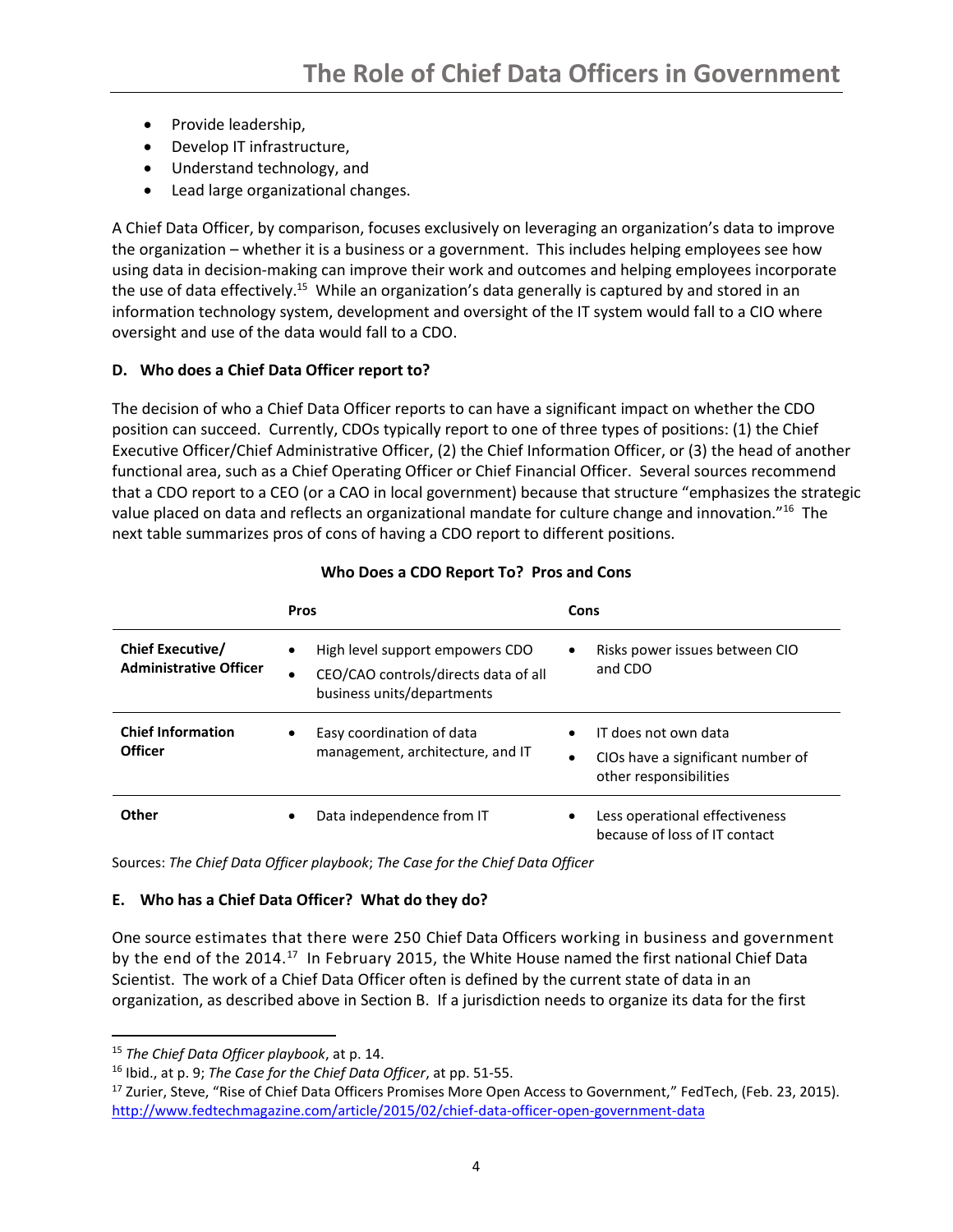- Provide leadership,
- Develop IT infrastructure,
- Understand technology, and
- Lead large organizational changes.

A Chief Data Officer, by comparison, focuses exclusively on leveraging an organization's data to improve the organization – whether it is a business or a government. This includes helping employees see how using data in decision-making can improve their work and outcomes and helping employees incorporate the use of data effectively.<sup>15</sup> While an organization's data generally is captured by and stored in an information technology system, development and oversight of the IT system would fall to a CIO where oversight and use of the data would fall to a CDO.

# **D. Who does a Chief Data Officer report to?**

The decision of who a Chief Data Officer reports to can have a significant impact on whether the CDO position can succeed. Currently, CDOs typically report to one of three types of positions: (1) the Chief Executive Officer/Chief Administrative Officer, (2) the Chief Information Officer, or (3) the head of another functional area, such as a Chief Operating Officer or Chief Financial Officer. Several sources recommend that a CDO report to a CEO (or a CAO in local government) because that structure "emphasizes the strategic value placed on data and reflects an organizational mandate for culture change and innovation."<sup>16</sup> The next table summarizes pros of cons of having a CDO report to different positions.

|                                                          | <b>Pros</b>                                                                                                                     | Cons                                                                                             |
|----------------------------------------------------------|---------------------------------------------------------------------------------------------------------------------------------|--------------------------------------------------------------------------------------------------|
| <b>Chief Executive/</b><br><b>Administrative Officer</b> | High level support empowers CDO<br>$\bullet$<br>CEO/CAO controls/directs data of all<br>$\bullet$<br>business units/departments | Risks power issues between CIO<br>٠<br>and CDO                                                   |
| <b>Chief Information</b><br><b>Officer</b>               | Easy coordination of data<br>٠<br>management, architecture, and IT                                                              | IT does not own data<br>CIOs have a significant number of<br>$\bullet$<br>other responsibilities |
| Other                                                    | Data independence from IT<br>٠                                                                                                  | Less operational effectiveness<br>٠<br>because of loss of IT contact                             |

# **Who Does a CDO Report To? Pros and Cons**

Sources: *The Chief Data Officer playbook*; *The Case for the Chief Data Officer*

# **E. Who has a Chief Data Officer? What do they do?**

One source estimates that there were 250 Chief Data Officers working in business and government by the end of the 2014.<sup>17</sup> In February 2015, the White House named the first national Chief Data Scientist. The work of a Chief Data Officer often is defined by the current state of data in an organization, as described above in Section B. If a jurisdiction needs to organize its data for the first

 $\overline{a}$ 

<sup>15</sup> *The Chief Data Officer playbook*, at p. 14.

<sup>16</sup> Ibid., at p. 9; *The Case for the Chief Data Officer*, at pp. 51-55.

<sup>&</sup>lt;sup>17</sup> Zurier, Steve, "Rise of Chief Data Officers Promises More Open Access to Government," FedTech, (Feb. 23, 2015). <http://www.fedtechmagazine.com/article/2015/02/chief-data-officer-open-government-data>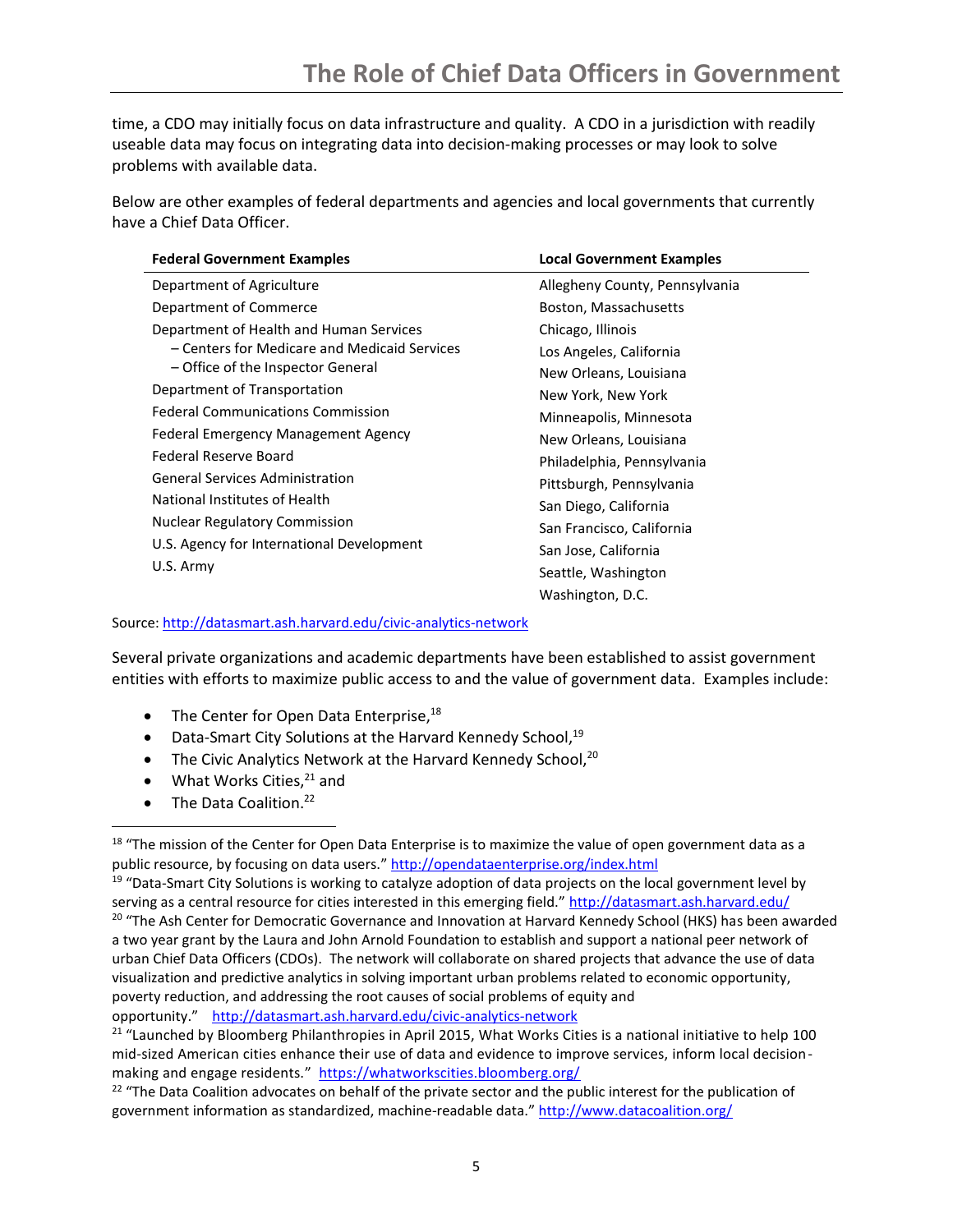time, a CDO may initially focus on data infrastructure and quality. A CDO in a jurisdiction with readily useable data may focus on integrating data into decision-making processes or may look to solve problems with available data.

Below are other examples of federal departments and agencies and local governments that currently have a Chief Data Officer.

| <b>Federal Government Examples</b>           | <b>Local Government Examples</b> |
|----------------------------------------------|----------------------------------|
| Department of Agriculture                    | Allegheny County, Pennsylvania   |
| Department of Commerce                       | Boston, Massachusetts            |
| Department of Health and Human Services      | Chicago, Illinois                |
| - Centers for Medicare and Medicaid Services | Los Angeles, California          |
| - Office of the Inspector General            | New Orleans, Louisiana           |
| Department of Transportation                 | New York, New York               |
| <b>Federal Communications Commission</b>     | Minneapolis, Minnesota           |
| Federal Emergency Management Agency          | New Orleans, Louisiana           |
| Federal Reserve Board                        | Philadelphia, Pennsylvania       |
| <b>General Services Administration</b>       | Pittsburgh, Pennsylvania         |
| National Institutes of Health                | San Diego, California            |
| <b>Nuclear Regulatory Commission</b>         | San Francisco, California        |
| U.S. Agency for International Development    | San Jose, California             |
| U.S. Army                                    | Seattle, Washington              |
|                                              | Washington, D.C.                 |

Source[: http://datasmart.ash.harvard.edu/civic-analytics-network](http://datasmart.ash.harvard.edu/civic-analytics-network)

Several private organizations and academic departments have been established to assist government entities with efforts to maximize public access to and the value of government data. Examples include:

- $\bullet$  The Center for Open Data Enterprise,  $^{18}$
- Data-Smart City Solutions at the Harvard Kennedy School, $19$
- The Civic Analytics Network at the Harvard Kennedy School, $20$
- $\bullet$  What Works Cities,  $21$  and
- The Data Coalition.<sup>22</sup>

 $\overline{\phantom{a}}$ 

<sup>&</sup>lt;sup>18</sup> "The mission of the Center for Open Data Enterprise is to maximize the value of open government data as a public resource, by focusing on data users." <http://opendataenterprise.org/index.html>

<sup>&</sup>lt;sup>19</sup> "Data-Smart City Solutions is working to catalyze adoption of data projects on the local government level by serving as a central resource for cities interested in this emerging field." <http://datasmart.ash.harvard.edu/> <sup>20</sup> "The Ash Center for Democratic Governance and Innovation at Harvard Kennedy School (HKS) has been awarded a two year grant by the Laura and John Arnold Foundation to establish and support a national peer network of urban Chief Data Officers (CDOs). The network will collaborate on shared projects that advance the use of data visualization and predictive analytics in solving important urban problems related to economic opportunity, poverty reduction, and addressing the root causes of social problems of equity and opportunity."<http://datasmart.ash.harvard.edu/civic-analytics-network>

<sup>&</sup>lt;sup>21</sup> "Launched by Bloomberg Philanthropies in April 2015, What Works Cities is a national initiative to help 100 mid-sized American cities enhance their use of data and evidence to improve services, inform local decisionmaking and engage residents." <https://whatworkscities.bloomberg.org/>

<sup>&</sup>lt;sup>22</sup> "The Data Coalition advocates on behalf of the private sector and the public interest for the publication of government information as standardized, machine-readable data." <http://www.datacoalition.org/>